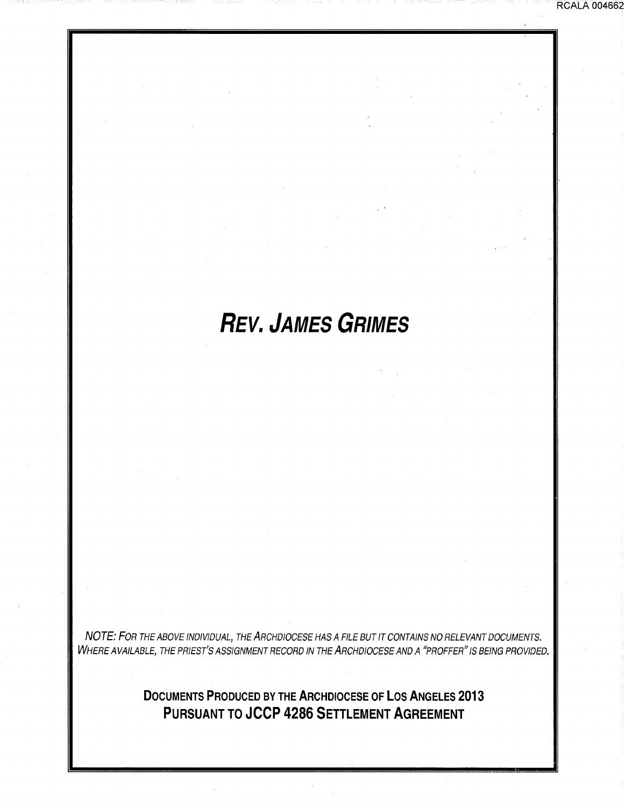## **REV. JAMES GRIMES**

RCALA 004662

NOTE: FOR THE ABOVE INDIVIDUAL, THE ARCHDIOCESE HAS A FILE BUT IT CONTAINS NO RELEVANT DOCUMENTS. WHERE AVAILABLE, THE PRIEST'S ASSIGNMENT RECORD IN THE ARCHDIOCESE AND A "PROFFER" IS BEING PROVIDED.

> **DOCUMENTS PRODUCED BY THE ARCHDIOCESE OF LOS ANGELES 2013 PURSUANT TO JCCP 4286 SETTLEMENT AGREEMENT**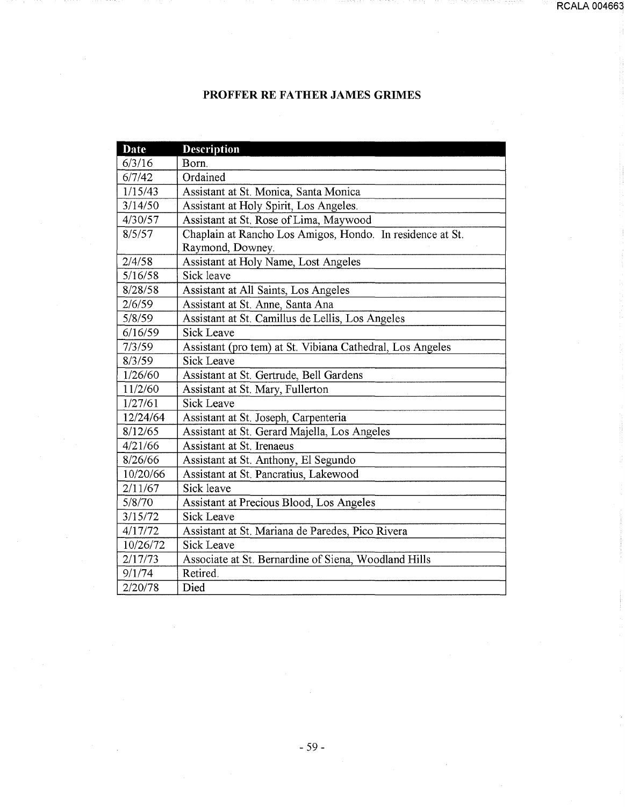## **PROFFER RE FATHER JAMES GRJMES**

| <b>Date</b> | <b>Description</b>                                        |
|-------------|-----------------------------------------------------------|
| 6/3/16      | Born.                                                     |
| 6/7/42      | Ordained                                                  |
| 1/15/43     | Assistant at St. Monica, Santa Monica                     |
| 3/14/50     | Assistant at Holy Spirit, Los Angeles.                    |
| 4/30/57     | Assistant at St. Rose of Lima, Maywood                    |
| 8/5/57      | Chaplain at Rancho Los Amigos, Hondo. In residence at St. |
|             | Raymond, Downey.                                          |
| 2/4/58      | Assistant at Holy Name, Lost Angeles                      |
| 5/16/58     | Sick leave                                                |
| 8/28/58     | Assistant at All Saints, Los Angeles                      |
| 2/6/59      | Assistant at St. Anne, Santa Ana                          |
| 5/8/59      | Assistant at St. Camillus de Lellis, Los Angeles          |
| 6/16/59     | <b>Sick Leave</b>                                         |
| 7/3/59      | Assistant (pro tem) at St. Vibiana Cathedral, Los Angeles |
| 8/3/59      | <b>Sick Leave</b>                                         |
| 1/26/60     | Assistant at St. Gertrude, Bell Gardens                   |
| 11/2/60     | Assistant at St. Mary, Fullerton                          |
| 1/27/61     | Sick Leave                                                |
| 12/24/64    | Assistant at St. Joseph, Carpenteria                      |
| 8/12/65     | Assistant at St. Gerard Majella, Los Angeles              |
| 4/21/66     | Assistant at St. Irenaeus                                 |
| 8/26/66     | Assistant at St. Anthony, El Segundo                      |
| 10/20/66    | Assistant at St. Pancratius, Lakewood                     |
| 2/11/67     | Sick leave                                                |
| 5/8/70      | Assistant at Precious Blood, Los Angeles                  |
| 3/15/72     | <b>Sick Leave</b>                                         |
| 4/17/72     | Assistant at St. Mariana de Paredes, Pico Rivera          |
| 10/26/72    | <b>Sick Leave</b>                                         |
| 2/17/73     | Associate at St. Bernardine of Siena, Woodland Hills      |
| 9/1/74      | Retired.                                                  |
| 2/20/78     | Died                                                      |